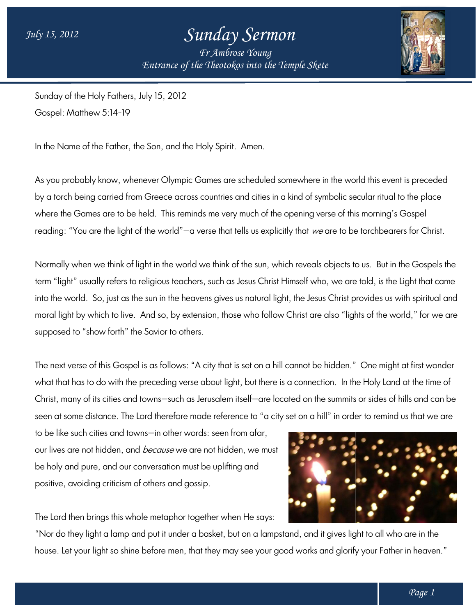## *Sunday Sermon*

*Entrance of the Theotokos Entrance of into the Temple Skete Fr Ambrose Young*



Sunday of the Holy Fathers, July 15, 2012 Gospel: Matthew 5:14-19 Sunday of the Holy Fathers, July 15, 2012<br>Gospel: Matthew 5:14-19<br>In the Name of the Father, the Son, and the Holy Spirit. Amen.

As you probably know, whenever Olympic Games are scheduled somewhere in the world this event is preceded . by a torch being carried from Greece across countries and cities in a kind of symbolic secular ritual to the place where the Games are to be held. This reminds me very much of the opening verse of this morning's Gospel reading: "You are the light of the world"—a verse that tells us explicitly that *we* are to be torchbearers for Christ. bably know, whenever Olympic Games are scheduled somewhere in the world this event is preceded<br>being carried from Greece across countries and cities in a kind of symbolic secular ritual to the place<br>Games are to be held. T

Normally when we think of light in the world we think of the sun, which reveals objects to us. But in the Gospels the term "light" usually refers to religious teachers, such as Jesus Christ Himself who, we are told, is the Light that came into the world. So, just as the sun in the heavens gives us natural light, the Jesus Christ provides us with spiritual and Normally when we think of light in the world we think of the sun, which reveals objects to us. But in the Gospels the<br>term "light" usually refers to religious teachers, such as Jesus Christ Himself who, we are told, is the supposed to "show forth" the Savior to others. moral light by which to live. And so, by extension, those who follow Christ are also "lights of the world," for we are<br>supposed to "show forth" the Savior to others.<br>The next verse of this Gospel is as follows: "A city tha

what that has to do with the preceding verse about light, but there is a connection. In the Holy Land at the time of what that has to do with the preceding verse about light, but there is a connection. In the Holy Land at the time of<br>Christ, many of its cities and towns—such as Jerusalem itself—are located on the summits or sides of hill seen at some distance. The Lord therefore made reference to "a city set on a hill" in order to remind us that we are

to be like such cities and towns—in other words: seen from afar, to be like such cities and towns—in other words: seen from afar,<br>our lives are not hidden, and *because* we are not hidden, we must be holy and pure, and our conversation must be uplifting and positive, avoiding criticism of others and gossip.

The Lord then brings this whole metaphor together when He says:

"Nor do they light a lamp and put it under a basket, but on a lampstand, and it gives light to all who are in the house. Let your light so shine before men, that they may see your good works and glorify your Father in heaven."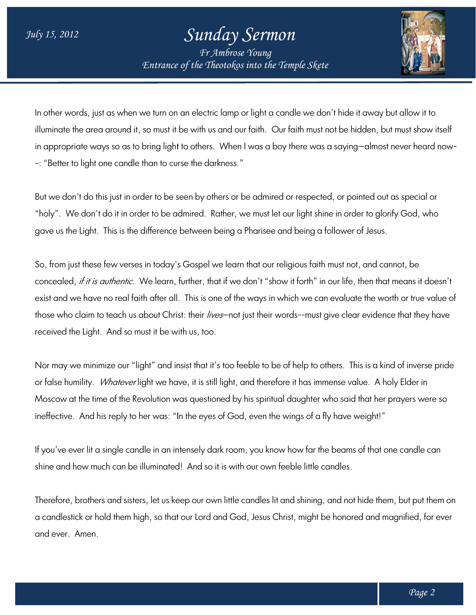## *Sunday Sermon*

*Entrance of the Theotokos Entrance of into the Temple Skete Fr Ambrose Young*



In other words, just as when we turn on an electric lamp or light a candle we don't hide it away but allow it to In other words, just as when we turn on an electric lamp or light a candle we don't hide it away but allow it to<br>illuminate the area around it, so must it be with us and our faith. Our faith must not be hidden, but must sh in appropriate ways so as to bring light to others. When I was a boy there was a saying—almost never heard now--: "Better to light one candle than to curse the darkness."

But we don't do this just in order to be seen by others or be admired or respected, or pointed out as special or -: "Better to light one candle than to curse the darkness."<br>But we don't do this just in order to be seen by others or be admired or respected, or pointed out as special or<br>"holy". We don't do it in order to be admired. Ra gave us the Light. This is the difference between being a Pharisee and being a follower of Jesus.

So, from just these few verses in today's Gospel we learn that our religious faith must not, and cannot, be gave us the Light. This is the difference between being a Pharisee and being a follower of Jesus.<br>So, from just these few verses in today's Gospel we learn that our religious faith must not, and cannot, be<br>concealed, *if i* exist and we have no real faith after all. This is one of the ways in which we can evaluate the worth or true value of those who claim to teach us about Christ: their *lives*—not just their words--must give clear evidence that they have received the Light. And so must it be with us, too. ther, we must let our light shine in order to glority God, who<br>eing a Pharisee and being a follower of Jesus.<br>e learn that our religious faith must not, and cannot, be<br>if we don't "show it forth" in our life, then that mea

received the Light. And so must it be with us, too.<br>Nor may we minimize our "light" and insist that it's too feeble to be of help to others. This is a kind of inverse pride or false humility. *Whatever* light we have, it is still light, and therefore it has immense value. Moscow at the time of the Revolution was questioned by his spiritual daughter who said that her prayers were so Moscow at the time of the Revolution was questioned by his spiritual daughter who said that her<br>ineffective. And his reply to her was: "In the eyes of God, even the wings of a fly have weight!"

If you've ever lit a single candle in an intensely dark room, you know how far the beams of that one candle can<br>shine and how much can be illuminated! And so it is with our own feeble little candles. shine and how much can be illuminated! And so it is with our own feeble little candles.

Therefore, brothers and sisters, let us keep our own little candles lit and shining, and not hide them, but put them on Theretore, brothers and sisters, let us keep our own little candles lit and shining, and not hide them, but put them on<br>a candlestick or hold them high, so that our Lord and God, Jesus Christ, might be honored and magnifie and ever. Amen.